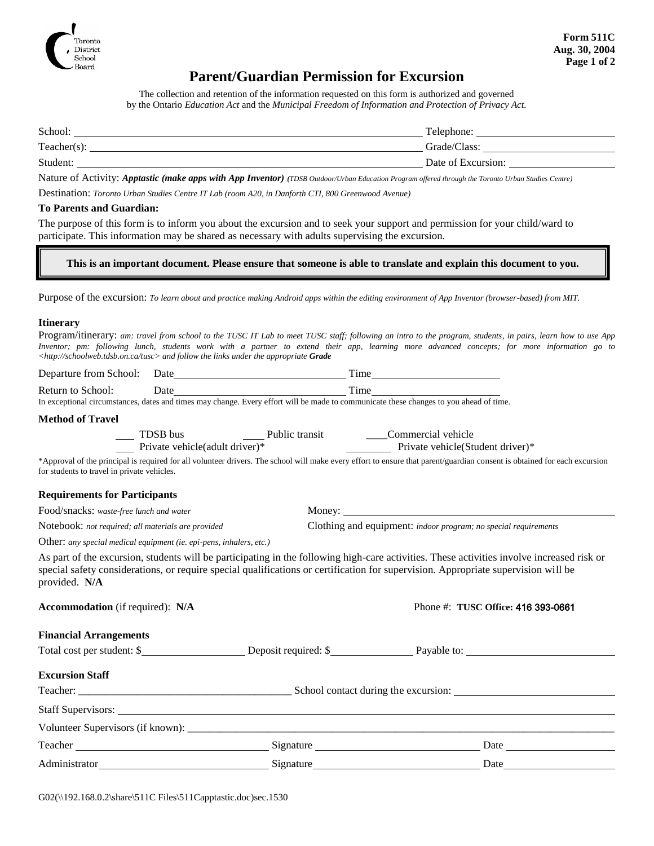

### **Parent/Guardian Permission for Excursion**

The collection and retention of the information requested on this form is authorized and governed by the Ontario *Education Act* and the *Municipal Freedom of Information and Protection of Privacy Act.*

| School:        | Telephone:         |
|----------------|--------------------|
| $Teacher(s)$ : | Grade/Class:       |
| Student:       | Date of Excursion: |

Nature of Activity: *Apptastic (make apps with App Inventor) (TDSB Outdoor/Urban Education Program offered through the Toronto Urban Studies Centre)*

Destination: *Toronto Urban Studies Centre IT Lab (room A20, in Danforth CTI, 800 Greenwood Avenue)*

#### **To Parents and Guardian:**

The purpose of this form is to inform you about the excursion and to seek your support and permission for your child/ward to participate. This information may be shared as necessary with adults supervising the excursion.

**This is an important document. Please ensure that someone is able to translate and explain this document to you.**

Purpose of the excursion: *To learn about and practice making Android apps within the editing environment of App Inventor (browser-based) from MIT.*

#### **Itinerary**

|                                                                                                        |  |  |  |  |  |  |  |  |  |  |  |  |  |  | Program/itinerary: am: travel from school to the TUSC IT Lab to meet TUSC staff; following an intro to the program, students, in pairs, learn how to use App |  |
|--------------------------------------------------------------------------------------------------------|--|--|--|--|--|--|--|--|--|--|--|--|--|--|--------------------------------------------------------------------------------------------------------------------------------------------------------------|--|
|                                                                                                        |  |  |  |  |  |  |  |  |  |  |  |  |  |  | Inventor; pm: following lunch, students work with a partner to extend their app, learning more advanced concepts; for more information go to                 |  |
| $\langle$ http://schoolweb.tdsb.on.ca/tusc $>$ and follow the links under the appropriate <b>Grade</b> |  |  |  |  |  |  |  |  |  |  |  |  |  |  |                                                                                                                                                              |  |

|                                                                     |  | Return to School: Date<br>In exceptional circumstances, dates and times may change. Every effort will be made to communicate these changes to you ahead of time.                                                                                                                 |
|---------------------------------------------------------------------|--|----------------------------------------------------------------------------------------------------------------------------------------------------------------------------------------------------------------------------------------------------------------------------------|
| <b>Method of Travel</b>                                             |  |                                                                                                                                                                                                                                                                                  |
|                                                                     |  |                                                                                                                                                                                                                                                                                  |
|                                                                     |  | TDSB bus Public transit<br>Public transit<br>Public transit<br>Public transit<br>Private vehicle(Student driver)*                                                                                                                                                                |
| for students to travel in private vehicles.                         |  | *Approval of the principal is required for all volunteer drivers. The school will make every effort to ensure that parent/guardian consent is obtained for each excursion                                                                                                        |
| <b>Requirements for Participants</b>                                |  |                                                                                                                                                                                                                                                                                  |
| Food/snacks: waste-free lunch and water                             |  |                                                                                                                                                                                                                                                                                  |
| Notebook: not required; all materials are provided                  |  | Clothing and equipment: indoor program; no special requirements                                                                                                                                                                                                                  |
| Other: any special medical equipment (ie. epi-pens, inhalers, etc.) |  |                                                                                                                                                                                                                                                                                  |
| provided. N/A                                                       |  | As part of the excursion, students will be participating in the following high-care activities. These activities involve increased risk or<br>special safety considerations, or require special qualifications or certification for supervision. Appropriate supervision will be |
| <b>Accommodation</b> (if required): N/A                             |  | Phone #: TUSC Office: 416 393-0661                                                                                                                                                                                                                                               |
| <b>Financial Arrangements</b>                                       |  |                                                                                                                                                                                                                                                                                  |
|                                                                     |  | Total cost per student: \$                                                                                                                                                                                                                                                       |
| <b>Excursion Staff</b>                                              |  |                                                                                                                                                                                                                                                                                  |
|                                                                     |  |                                                                                                                                                                                                                                                                                  |
|                                                                     |  |                                                                                                                                                                                                                                                                                  |
| Volunteer Supervisors (if known):                                   |  |                                                                                                                                                                                                                                                                                  |

Teacher Signature Date

Administrator Signature Date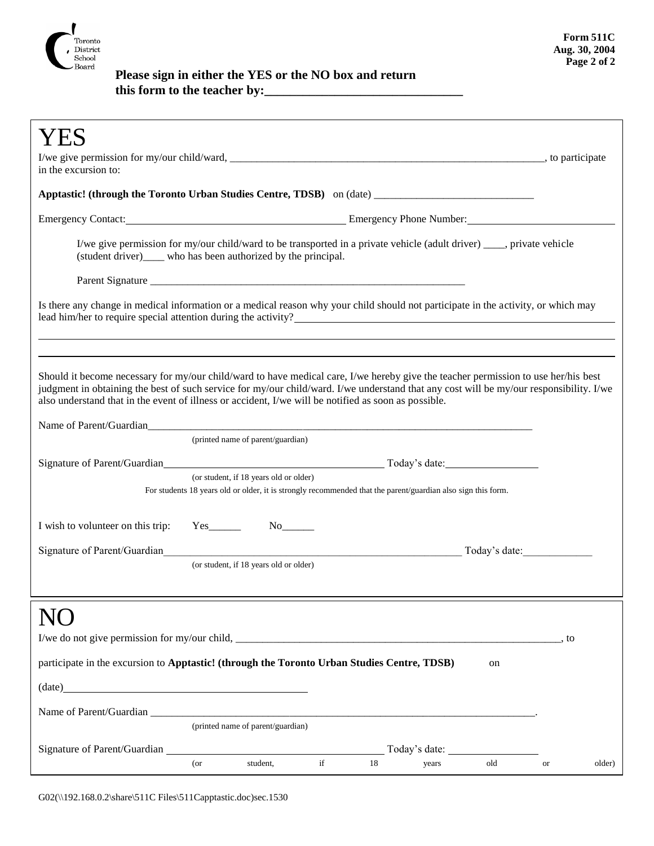

## **Please sign in either the YES or the NO box and return this form to the teacher by:\_\_\_\_\_\_\_\_\_\_\_\_\_\_\_\_\_\_\_\_\_\_\_\_\_\_\_\_\_\_\_**

| in the excursion to:                                                                                                                                                                                                                                                                                                                                                                  |                            |                                        |             |    |                                                                                                              |     |                       |        |  |  |
|---------------------------------------------------------------------------------------------------------------------------------------------------------------------------------------------------------------------------------------------------------------------------------------------------------------------------------------------------------------------------------------|----------------------------|----------------------------------------|-------------|----|--------------------------------------------------------------------------------------------------------------|-----|-----------------------|--------|--|--|
| Apptastic! (through the Toronto Urban Studies Centre, TDSB) on (date) ______________________________                                                                                                                                                                                                                                                                                  |                            |                                        |             |    |                                                                                                              |     |                       |        |  |  |
| Emergency Contact: <u>Emergency Phone Number:</u> Emergency Phone Number:                                                                                                                                                                                                                                                                                                             |                            |                                        |             |    |                                                                                                              |     |                       |        |  |  |
| I/we give permission for my/our child/ward to be transported in a private vehicle (adult driver) ____, private vehicle<br>(student driver)_____ who has been authorized by the principal.                                                                                                                                                                                             |                            |                                        |             |    |                                                                                                              |     |                       |        |  |  |
|                                                                                                                                                                                                                                                                                                                                                                                       |                            |                                        |             |    |                                                                                                              |     |                       |        |  |  |
| Is there any change in medical information or a medical reason why your child should not participate in the activity, or which may<br>lead him/her to require special attention during the activity?                                                                                                                                                                                  |                            |                                        |             |    |                                                                                                              |     |                       |        |  |  |
|                                                                                                                                                                                                                                                                                                                                                                                       |                            |                                        |             |    |                                                                                                              |     |                       |        |  |  |
| Should it become necessary for my/our child/ward to have medical care, I/we hereby give the teacher permission to use her/his best<br>judgment in obtaining the best of such service for my/our child/ward. I/we understand that any cost will be my/our responsibility. I/we<br>also understand that in the event of illness or accident, I/we will be notified as soon as possible. |                            |                                        |             |    |                                                                                                              |     |                       |        |  |  |
| Name of Parent/Guardian experience and the contract of the contract of the contract of the contract of the contract of the contract of the contract of the contract of the contract of the contract of the contract of the con                                                                                                                                                        |                            |                                        |             |    |                                                                                                              |     |                       |        |  |  |
|                                                                                                                                                                                                                                                                                                                                                                                       |                            | (printed name of parent/guardian)      |             |    |                                                                                                              |     |                       |        |  |  |
|                                                                                                                                                                                                                                                                                                                                                                                       |                            |                                        |             |    |                                                                                                              |     |                       |        |  |  |
|                                                                                                                                                                                                                                                                                                                                                                                       |                            | (or student, if 18 years old or older) |             |    | For students 18 years old or older, it is strongly recommended that the parent/guardian also sign this form. |     |                       |        |  |  |
|                                                                                                                                                                                                                                                                                                                                                                                       |                            |                                        |             |    |                                                                                                              |     |                       |        |  |  |
| I wish to volunteer on this trip:                                                                                                                                                                                                                                                                                                                                                     | $Yes$ <sub>_________</sub> |                                        |             |    |                                                                                                              |     |                       |        |  |  |
| Signature of Parent/Guardian and the contract of Parent/Guardian<br>Today's date:                                                                                                                                                                                                                                                                                                     |                            |                                        |             |    |                                                                                                              |     |                       |        |  |  |
|                                                                                                                                                                                                                                                                                                                                                                                       |                            | (or student, if 18 years old or older) |             |    |                                                                                                              |     |                       |        |  |  |
|                                                                                                                                                                                                                                                                                                                                                                                       |                            |                                        |             |    |                                                                                                              |     |                       |        |  |  |
|                                                                                                                                                                                                                                                                                                                                                                                       |                            |                                        |             |    |                                                                                                              |     |                       |        |  |  |
|                                                                                                                                                                                                                                                                                                                                                                                       |                            |                                        |             |    |                                                                                                              |     | , to                  |        |  |  |
| participate in the excursion to Apptastic! (through the Toronto Urban Studies Centre, TDSB)                                                                                                                                                                                                                                                                                           |                            |                                        |             |    |                                                                                                              | on  |                       |        |  |  |
| $(data)$ $\overline{\phantom{a}}$                                                                                                                                                                                                                                                                                                                                                     |                            |                                        |             |    |                                                                                                              |     |                       |        |  |  |
|                                                                                                                                                                                                                                                                                                                                                                                       |                            |                                        |             |    |                                                                                                              |     |                       |        |  |  |
|                                                                                                                                                                                                                                                                                                                                                                                       |                            | (printed name of parent/guardian)      |             |    |                                                                                                              |     |                       |        |  |  |
|                                                                                                                                                                                                                                                                                                                                                                                       |                            |                                        |             |    |                                                                                                              |     |                       |        |  |  |
|                                                                                                                                                                                                                                                                                                                                                                                       | $($ or                     | student,                               | $_{\rm if}$ | 18 | years                                                                                                        | old | $\hbox{or}\hskip 1in$ | older) |  |  |